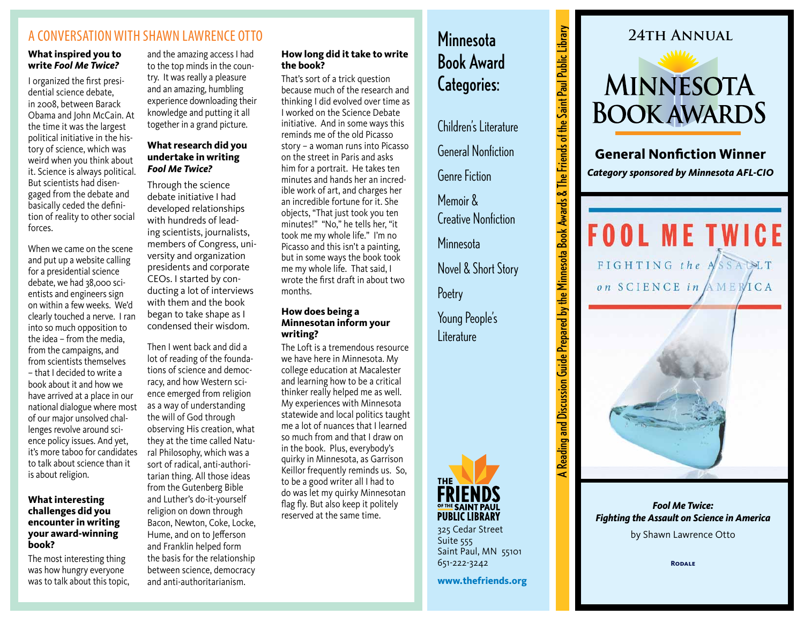## A CONVERSATION WITH SHAWN LAWRENCE OTTO

### **What inspired you to write** *Fool Me Twice?*

I organized the first presidential science debate, in 2008, between Barack Obama and John McCain. At the time it was the largest political initiative in the history of science, which was weird when you think about it. Science is always political. But scientists had disengaged from the debate and basically ceded the definition of reality to other social forces.

When we came on the scene and put up a website calling for a presidential science debate, we had 38,000 scientists and engineers sign on within a few weeks. We'd clearly touched a nerve. I ran into so much opposition to the idea – from the media, from the campaigns, and from scientists themselves – that I decided to write a book about it and how we have arrived at a place in our national dialogue where most of our major unsolved challenges revolve around science policy issues. And yet, it's more taboo for candidates to talk about science than it is about religion.

### **What interesting challenges did you encounter in writing your award-winning book?**

The most interesting thing was how hungry everyone was to talk about this topic,

and the amazing access I had to the top minds in the country. It was really a pleasure and an amazing, humbling experience downloading their knowledge and putting it all together in a grand picture.

## **What research did you undertake in writing**  *Fool Me Twice?*

Through the science debate initiative I had developed relationships with hundreds of leading scientists, journalists, members of Congress, university and organization presidents and corporate CEOs. I started by conducting a lot of interviews with them and the book began to take shape as I condensed their wisdom.

Then I went back and did a lot of reading of the foundations of science and democracy, and how Western science emerged from religion as a way of understanding the will of God through observing His creation, what they at the time called Natural Philosophy, which was a sort of radical, anti-authoritarian thing. All those ideas from the Gutenberg Bible and Luther's do-it-yourself religion on down through Bacon, Newton, Coke, Locke, Hume, and on to Jefferson and Franklin helped form the basis for the relationship between science, democracy and anti-authoritarianism.

## **How long did it take to write the book?**

That's sort of a trick question because much of the research and thinking I did evolved over time as I worked on the Science Debate initiative. And in some ways this reminds me of the old Picasso story – a woman runs into Picasso on the street in Paris and asks him for a portrait. He takes ten minutes and hands her an incredible work of art, and charges her an incredible fortune for it. She objects, "That just took you ten minutes!" "No," he tells her, "it took me my whole life." I'm no Picasso and this isn't a painting, but in some ways the book took me my whole life. That said, I wrote the first draft in about two months.

### **How does being a Minnesotan inform your writing?**

The Loft is a tremendous resource we have here in Minnesota. My college education at Macalester and learning how to be a critical thinker really helped me as well. My experiences with Minnesota statewide and local politics taught me a lot of nuances that I learned so much from and that I draw on in the book. Plus, everybody's quirky in Minnesota, as Garrison Keillor frequently reminds us. So, to be a good writer all I had to do was let my quirky Minnesotan flag fly. But also keep it politely reserved at the same time.

# **Minnesota** Book Award Categories:

Children's Literature

General Nonfiction Genre Fiction

Memoir & Creative Nonfiction **Minnesota** Novel & Short Story A Reading and Discussion Guide Prepared by the Minnesota Book Awards & The Friends of the Saint Paul Public Library

⋜

Reading and Discussion Guide Prepared by the Minnesota Book Awards & The Friends of the Saint Paul Public Library

**Poetry** 

Young People's Literature



325 Cedar Street Suite 555 Saint Paul, MN 55101 651-222-3242

**www.thefriends.org**



**General Nonfiction Winner** *Category sponsored by Minnesota AFL-CIO*

**FOOL ME TWICE** FIGHTING the ASSAULT on SCIENCE in AMERICA



*Fool Me Twice: Fighting the Assault on Science in America* 

by Shawn Lawrence Otto

**Rodale**